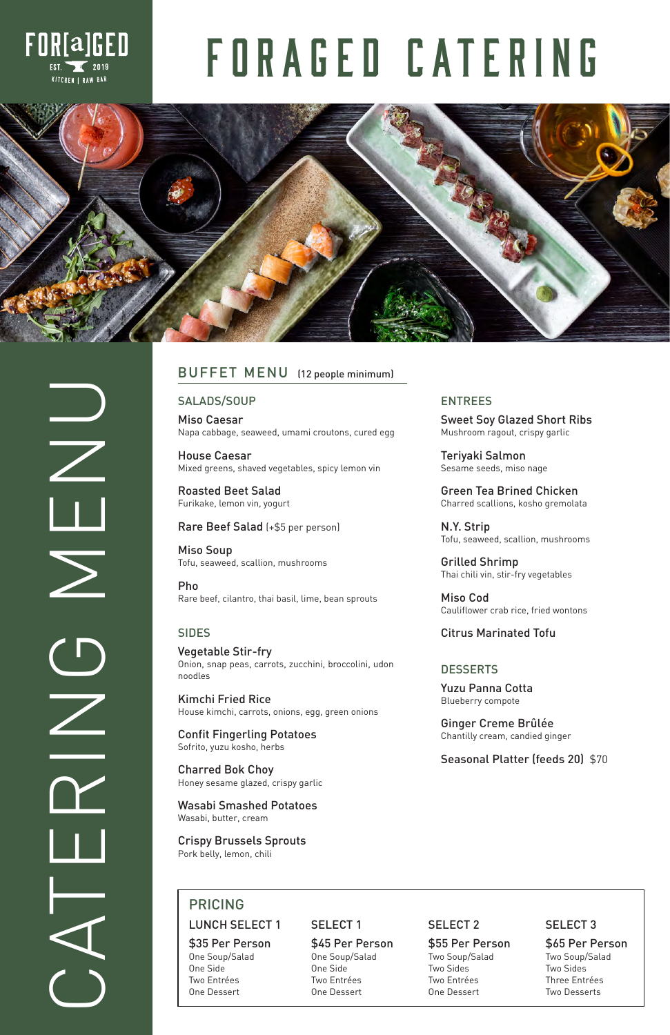

 $\frac{1}{\sqrt{2}}$ 

 $\frac{C}{Z}$ 



# FORAGED CATERING



# SALADS/SOUP

Miso Caesar Napa cabbage, seaweed, umami croutons, cured egg

House Caesar Mixed greens, shaved vegetables, spicy lemon vin

Roasted Beet Salad Furikake, lemon vin, yogurt

### Rare Beef Salad (+\$5 per person)

Miso Soup Tofu, seaweed, scallion, mushrooms

Pho Rare beef, cilantro, thai basil, lime, bean sprouts

### ENTREES

Sweet Soy Glazed Short Ribs Mushroom ragout, crispy garlic

Teriyaki Salmon Sesame seeds, miso nage

Green Tea Brined Chicken Charred scallions, kosho gremolata

N.Y. Strip Tofu, seaweed, scallion, mushrooms

Grilled Shrimp Thai chili vin, stir-fry vegetables

# **BUFFET MENU** (12 people minimum)

Miso Cod Cauliflower crab rice, fried wontons

SIDES Citrus Marinated Tofu

# **DESSERTS**

Vegetable Stir-fry Onion, snap peas, carrots, zucchini, broccolini, udon noodles

Kimchi Fried Rice House kimchi, carrots, onions, egg, green onions

Confit Fingerling Potatoes Sofrito, yuzu kosho, herbs

Charred Bok Choy Honey sesame glazed, crispy garlic

Wasabi Smashed Potatoes

Wasabi, butter, cream

# Crispy Brussels Sprouts

Pork belly, lemon, chili

Yuzu Panna Cotta Blueberry compote

Ginger Creme Brûlée Chantilly cream, candied ginger

Seasonal Platter (feeds 20) \$70

| <b>PRICING</b>                                                              |                                                                             |                                                                              |                                                                                 |
|-----------------------------------------------------------------------------|-----------------------------------------------------------------------------|------------------------------------------------------------------------------|---------------------------------------------------------------------------------|
| <b>LUNCH SELECT 1</b>                                                       | <b>SELECT1</b>                                                              | <b>SELECT 2</b>                                                              | <b>SELECT 3</b>                                                                 |
| \$35 Per Person<br>One Soup/Salad<br>One Side<br>Two Entrées<br>One Dessert | \$45 Per Person<br>One Soup/Salad<br>One Side<br>Two Entrées<br>One Dessert | \$55 Per Person<br>Two Soup/Salad<br>Two Sides<br>Two Entrées<br>One Dessert | \$65 Per Person<br>Two Soup/Salad<br>Two Sides<br>Three Entrées<br>Two Desserts |